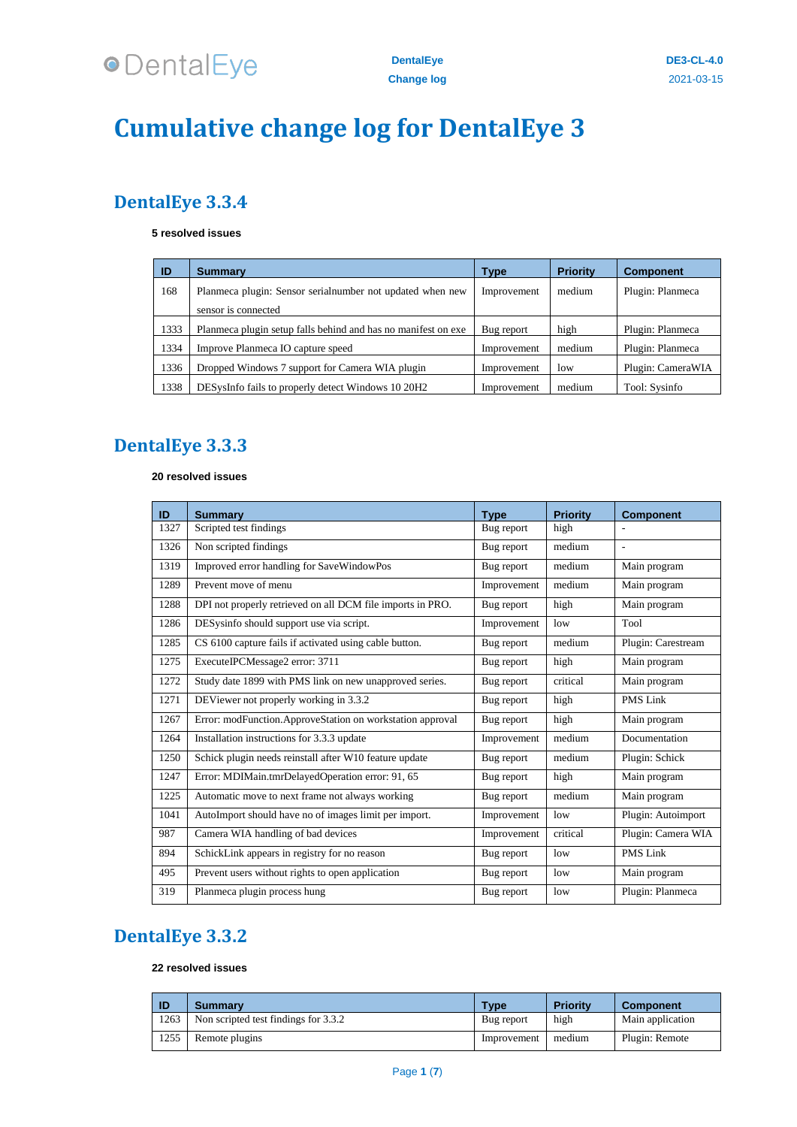

## **Cumulative change log for DentalEye 3**

### **DentalEye 3.3.4**

#### **resolved issues**

| ID   | <b>Summary</b>                                                                    | <b>Type</b> | <b>Priority</b> | <b>Component</b>  |
|------|-----------------------------------------------------------------------------------|-------------|-----------------|-------------------|
| 168  | Planmeca plugin: Sensor serial number not updated when new<br>sensor is connected | Improvement | medium          | Plugin: Planmeca  |
| 1333 | Planmeca plugin setup falls behind and has no manifest on exe                     | Bug report  | high            | Plugin: Planmeca  |
| 1334 | Improve Planmeca IO capture speed                                                 | Improvement | medium          | Plugin: Planmeca  |
| 1336 | Dropped Windows 7 support for Camera WIA plugin                                   | Improvement | low             | Plugin: CameraWIA |
| 1338 | DESysInfo fails to properly detect Windows 10 20H <sub>2</sub>                    | Improvement | medium          | Tool: Sysinfo     |

### **DentalEye 3.3.3**

#### **resolved issues**

| ID   | <b>Summary</b>                                             | <b>Type</b> | <b>Priority</b> | <b>Component</b>   |
|------|------------------------------------------------------------|-------------|-----------------|--------------------|
| 1327 | Scripted test findings                                     | Bug report  | high            |                    |
| 1326 | Non scripted findings                                      | Bug report  | medium          |                    |
| 1319 | Improved error handling for SaveWindowPos                  | Bug report  | medium          | Main program       |
| 1289 | Prevent move of menu                                       | Improvement | medium          | Main program       |
| 1288 | DPI not properly retrieved on all DCM file imports in PRO. | Bug report  | high            | Main program       |
| 1286 | DESysinfo should support use via script.                   | Improvement | low             | Tool               |
| 1285 | CS 6100 capture fails if activated using cable button.     | Bug report  | medium          | Plugin: Carestream |
| 1275 | ExecuteIPCMessage2 error: 3711                             | Bug report  | high            | Main program       |
| 1272 | Study date 1899 with PMS link on new unapproved series.    | Bug report  | critical        | Main program       |
| 1271 | DEViewer not properly working in 3.3.2                     | Bug report  | high            | PMS Link           |
| 1267 | Error: modFunction.ApproveStation on workstation approval  | Bug report  | high            | Main program       |
| 1264 | Installation instructions for 3.3.3 update                 | Improvement | medium          | Documentation      |
| 1250 | Schick plugin needs reinstall after W10 feature update     | Bug report  | medium          | Plugin: Schick     |
| 1247 | Error: MDIMain.tmrDelayedOperation error: 91, 65           | Bug report  | high            | Main program       |
| 1225 | Automatic move to next frame not always working            | Bug report  | medium          | Main program       |
| 1041 | AutoImport should have no of images limit per import.      | Improvement | low             | Plugin: Autoimport |
| 987  | Camera WIA handling of bad devices                         | Improvement | critical        | Plugin: Camera WIA |
| 894  | SchickLink appears in registry for no reason               | Bug report  | low             | <b>PMS Link</b>    |
| 495  | Prevent users without rights to open application           | Bug report  | low             | Main program       |
| 319  | Planmeca plugin process hung                               | Bug report  | low             | Plugin: Planmeca   |

### **DentalEye 3.3.2**

#### **resolved issues**

| -ID  | <b>Summary</b>                       | Type        | Priority | <b>Component</b> |
|------|--------------------------------------|-------------|----------|------------------|
| 1263 | Non scripted test findings for 3.3.2 | Bug report  | high     | Main application |
| 1255 | Remote plugins                       | Improvement | medium   | Plugin: Remote   |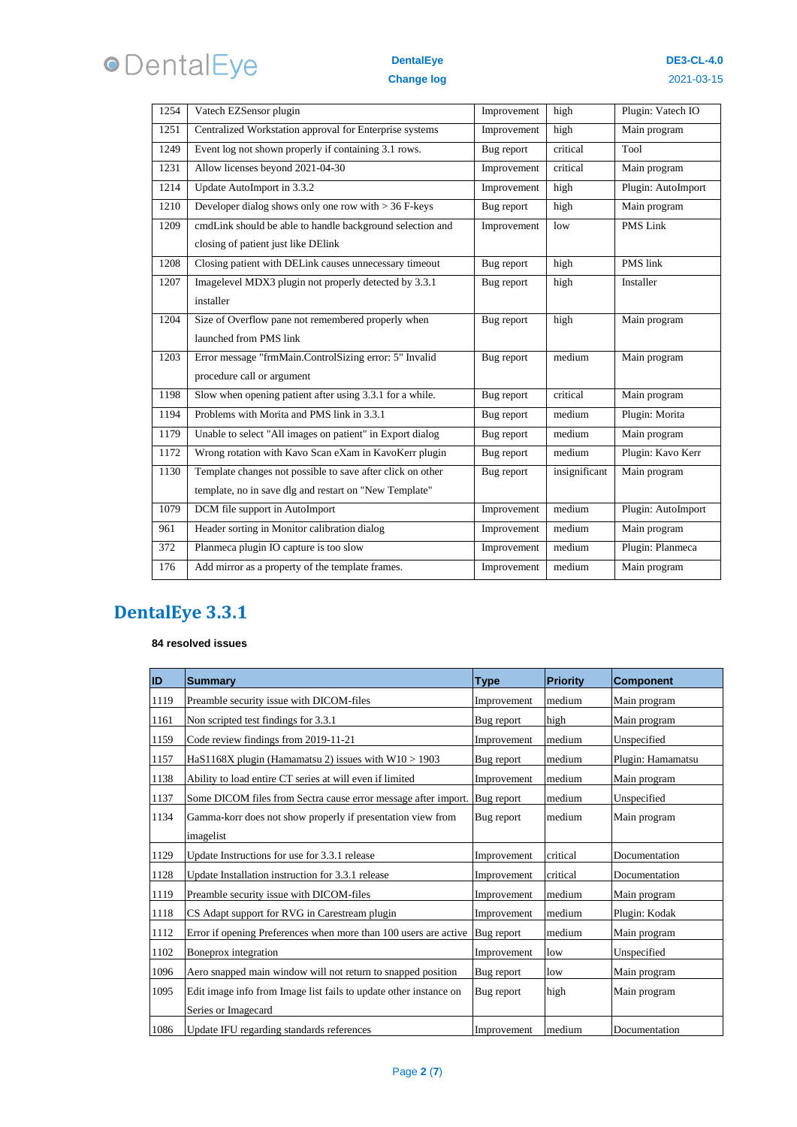# **ODentalEye**

#### **DentalEye Change log**

| 1254 | Vatech EZSensor plugin                                     | Improvement | high          | Plugin: Vatech IO  |
|------|------------------------------------------------------------|-------------|---------------|--------------------|
| 1251 | Centralized Workstation approval for Enterprise systems    | Improvement | high          | Main program       |
| 1249 | Event log not shown properly if containing 3.1 rows.       | Bug report  | critical      | Tool               |
| 1231 | Allow licenses beyond 2021-04-30                           | Improvement | critical      | Main program       |
| 1214 | Update AutoImport in 3.3.2                                 | Improvement | high          | Plugin: AutoImport |
| 1210 | Developer dialog shows only one row with $>$ 36 F-keys     | Bug report  | high          | Main program       |
| 1209 | cmdLink should be able to handle background selection and  | Improvement | low           | PMS Link           |
|      | closing of patient just like DElink                        |             |               |                    |
| 1208 | Closing patient with DELink causes unnecessary timeout     | Bug report  | high          | <b>PMS</b> link    |
| 1207 | Imagelevel MDX3 plugin not properly detected by 3.3.1      | Bug report  | high          | Installer          |
|      | installer                                                  |             |               |                    |
| 1204 | Size of Overflow pane not remembered properly when         | Bug report  | high          | Main program       |
|      | launched from PMS link                                     |             |               |                    |
| 1203 | Error message "frmMain.ControlSizing error: 5" Invalid     | Bug report  | medium        | Main program       |
|      | procedure call or argument                                 |             |               |                    |
| 1198 | Slow when opening patient after using 3.3.1 for a while.   | Bug report  | critical      | Main program       |
| 1194 | Problems with Morita and PMS link in 3.3.1                 | Bug report  | medium        | Plugin: Morita     |
| 1179 | Unable to select "All images on patient" in Export dialog  | Bug report  | medium        | Main program       |
| 1172 | Wrong rotation with Kavo Scan eXam in KavoKerr plugin      | Bug report  | medium        | Plugin: Kavo Kerr  |
| 1130 | Template changes not possible to save after click on other | Bug report  | insignificant | Main program       |
|      | template, no in save dlg and restart on "New Template"     |             |               |                    |
| 1079 | DCM file support in AutoImport                             | Improvement | medium        | Plugin: AutoImport |
| 961  | Header sorting in Monitor calibration dialog               | Improvement | medium        | Main program       |
| 372  | Planmeca plugin IO capture is too slow                     | Improvement | medium        | Plugin: Planmeca   |
| 176  | Add mirror as a property of the template frames.           | Improvement | medium        | Main program       |

## **DentalEye 3.3.1**

#### **resolved issues**

| <b>ID</b> | <b>Summary</b>                                                                           | <b>Type</b> | <b>Priority</b> | <b>Component</b>  |
|-----------|------------------------------------------------------------------------------------------|-------------|-----------------|-------------------|
| 1119      | Preamble security issue with DICOM-files                                                 | Improvement | medium          | Main program      |
| 1161      | Non scripted test findings for 3.3.1                                                     | Bug report  | high            | Main program      |
| 1159      | Code review findings from 2019-11-21                                                     | Improvement | medium          | Unspecified       |
| 1157      | HaS1168X plugin (Hamamatsu 2) issues with $W10 > 1903$                                   | Bug report  | medium          | Plugin: Hamamatsu |
| 1138      | Ability to load entire CT series at will even if limited                                 | Improvement | medium          | Main program      |
| 1137      | Some DICOM files from Sectra cause error message after import.                           | Bug report  | medium          | Unspecified       |
| 1134      | Gamma-korr does not show properly if presentation view from<br>imagelist                 | Bug report  | medium          | Main program      |
| 1129      | Update Instructions for use for 3.3.1 release                                            | Improvement | critical        | Documentation     |
| 1128      | Update Installation instruction for 3.3.1 release                                        | Improvement | critical        | Documentation     |
| 1119      | Preamble security issue with DICOM-files                                                 | Improvement | medium          | Main program      |
| 1118      | CS Adapt support for RVG in Carestream plugin                                            | Improvement | medium          | Plugin: Kodak     |
| 1112      | Error if opening Preferences when more than 100 users are active                         | Bug report  | medium          | Main program      |
| 1102      | Boneprox integration                                                                     | Improvement | low             | Unspecified       |
| 1096      | Aero snapped main window will not return to snapped position                             | Bug report  | low             | Main program      |
| 1095      | Edit image info from Image list fails to update other instance on<br>Series or Imagecard | Bug report  | high            | Main program      |
| 1086      | Update IFU regarding standards references                                                | Improvement | medium          | Documentation     |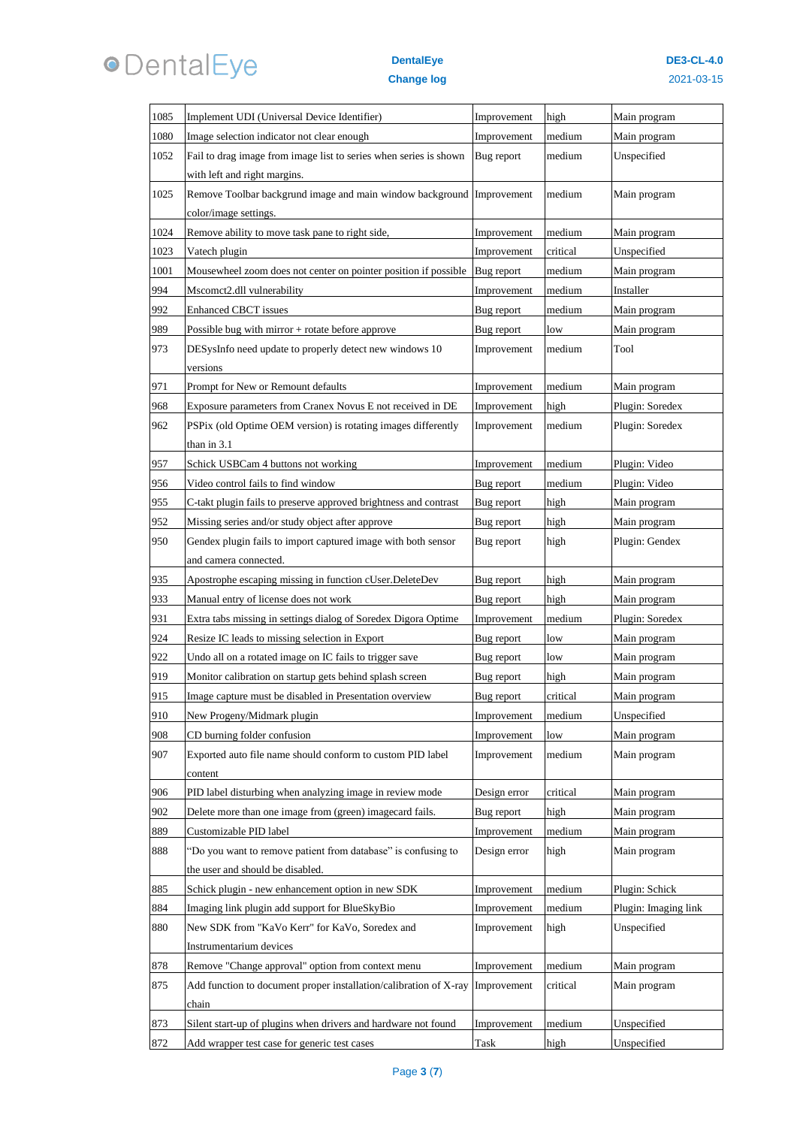

#### **DentalEye Change log**

| 1085 | Implement UDI (Universal Device Identifier)                       | Improvement  | high     | Main program         |
|------|-------------------------------------------------------------------|--------------|----------|----------------------|
| 1080 | Image selection indicator not clear enough                        | Improvement  | medium   | Main program         |
| 1052 | Fail to drag image from image list to series when series is shown | Bug report   | medium   | Unspecified          |
|      | with left and right margins.                                      |              |          |                      |
| 1025 | Remove Toolbar backgrund image and main window background         | Improvement  | medium   | Main program         |
|      | color/image settings.                                             |              |          |                      |
| 1024 | Remove ability to move task pane to right side,                   | Improvement  | medium   | Main program         |
| 1023 | Vatech plugin                                                     | Improvement  | critical | Unspecified          |
| 1001 | Mousewheel zoom does not center on pointer position if possible   | Bug report   | medium   | Main program         |
| 994  | Mscomct2.dll vulnerability                                        | Improvement  | medium   | Installer            |
| 992  | <b>Enhanced CBCT issues</b>                                       | Bug report   | medium   | Main program         |
| 989  | Possible bug with mirror $+$ rotate before approve                | Bug report   | low      | Main program         |
| 973  | DESysInfo need update to properly detect new windows 10           | Improvement  | medium   | Tool                 |
|      | versions                                                          |              |          |                      |
| 971  | Prompt for New or Remount defaults                                | Improvement  | medium   | Main program         |
| 968  | Exposure parameters from Cranex Novus E not received in DE        | Improvement  | high     | Plugin: Soredex      |
| 962  | PSPix (old Optime OEM version) is rotating images differently     | Improvement  | medium   | Plugin: Soredex      |
|      | than in 3.1                                                       |              |          |                      |
| 957  | Schick USBCam 4 buttons not working                               | Improvement  | medium   | Plugin: Video        |
| 956  | Video control fails to find window                                | Bug report   | medium   | Plugin: Video        |
| 955  | C-takt plugin fails to preserve approved brightness and contrast  | Bug report   | high     | Main program         |
| 952  | Missing series and/or study object after approve                  | Bug report   | high     | Main program         |
| 950  | Gendex plugin fails to import captured image with both sensor     | Bug report   | high     | Plugin: Gendex       |
|      | and camera connected.                                             |              |          |                      |
| 935  | Apostrophe escaping missing in function cUser.DeleteDev           | Bug report   | high     | Main program         |
| 933  | Manual entry of license does not work                             | Bug report   | high     | Main program         |
| 931  | Extra tabs missing in settings dialog of Soredex Digora Optime    | Improvement  | medium   | Plugin: Soredex      |
| 924  | Resize IC leads to missing selection in Export                    | Bug report   | low      | Main program         |
| 922  | Undo all on a rotated image on IC fails to trigger save           | Bug report   | low      | Main program         |
| 919  | Monitor calibration on startup gets behind splash screen          | Bug report   | high     | Main program         |
| 915  | Image capture must be disabled in Presentation overview           | Bug report   | critical | Main program         |
| 910  | New Progeny/Midmark plugin                                        | Improvement  | medium   | Unspecified          |
| 908  | CD burning folder confusion                                       | Improvement  | low      | Main program         |
| 907  | Exported auto file name should conform to custom PID label        | Improvement  | medium   | Main program         |
|      | content                                                           |              |          |                      |
| 906  | PID label disturbing when analyzing image in review mode          | Design error | critical | Main program         |
| 902  | Delete more than one image from (green) imagecard fails.          | Bug report   | high     | Main program         |
| 889  | Customizable PID label                                            | Improvement  | medium   | Main program         |
| 888  | "Do you want to remove patient from database" is confusing to     | Design error | high     | Main program         |
|      | the user and should be disabled.                                  |              |          |                      |
| 885  | Schick plugin - new enhancement option in new SDK                 | Improvement  | medium   | Plugin: Schick       |
| 884  | Imaging link plugin add support for BlueSkyBio                    | Improvement  | medium   | Plugin: Imaging link |
| 880  | New SDK from "KaVo Kerr" for KaVo, Soredex and                    | Improvement  | high     | Unspecified          |
|      | Instrumentarium devices                                           |              |          |                      |
| 878  | Remove "Change approval" option from context menu                 | Improvement  | medium   | Main program         |
| 875  | Add function to document proper installation/calibration of X-ray | Improvement  | critical | Main program         |
|      | chain                                                             |              |          |                      |
| 873  | Silent start-up of plugins when drivers and hardware not found    | Improvement  | medium   | Unspecified          |
| 872  | Add wrapper test case for generic test cases                      | Task         | high     | Unspecified          |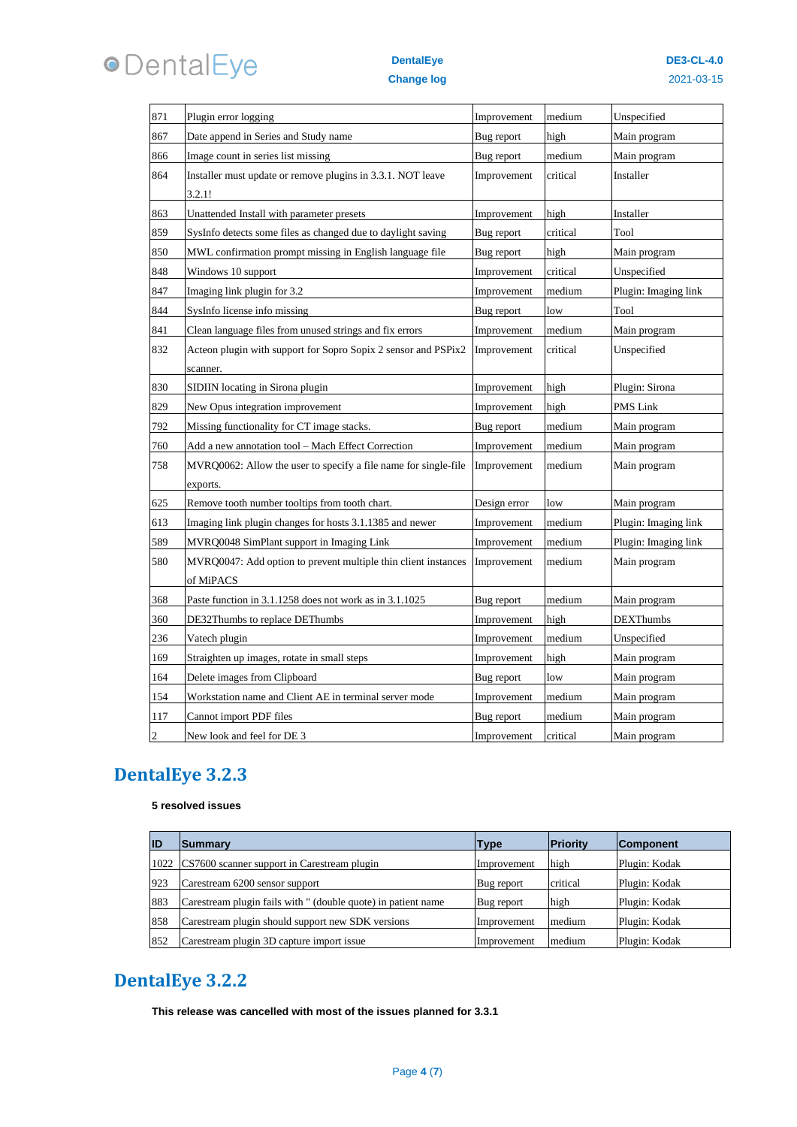

#### **DentalEye Change log**

| 871            | Plugin error logging                                            | Improvement  | medium   | Unspecified          |
|----------------|-----------------------------------------------------------------|--------------|----------|----------------------|
| 867            | Date append in Series and Study name                            | Bug report   | high     | Main program         |
| 866            | Image count in series list missing                              | Bug report   | medium   | Main program         |
| 864            | Installer must update or remove plugins in 3.3.1. NOT leave     | Improvement  | critical | Installer            |
|                | 3.2.1!                                                          |              |          |                      |
| 863            | Unattended Install with parameter presets                       | Improvement  | high     | Installer            |
| 859            | SysInfo detects some files as changed due to daylight saving    | Bug report   | critical | Tool                 |
| 850            | MWL confirmation prompt missing in English language file        | Bug report   | high     | Main program         |
| 848            | Windows 10 support                                              | Improvement  | critical | Unspecified          |
| 847            | Imaging link plugin for 3.2                                     | Improvement  | medium   | Plugin: Imaging link |
| 844            | SysInfo license info missing                                    | Bug report   | low      | Tool                 |
| 841            | Clean language files from unused strings and fix errors         | Improvement  | medium   | Main program         |
| 832            | Acteon plugin with support for Sopro Sopix 2 sensor and PSPix2  | Improvement  | critical | Unspecified          |
|                | scanner.                                                        |              |          |                      |
| 830            | SIDIIN locating in Sirona plugin                                | Improvement  | high     | Plugin: Sirona       |
| 829            | New Opus integration improvement                                | Improvement  | high     | PMS Link             |
| 792            | Missing functionality for CT image stacks.                      | Bug report   | medium   | Main program         |
| 760            | Add a new annotation tool - Mach Effect Correction              | Improvement  | medium   | Main program         |
| 758            | MVRQ0062: Allow the user to specify a file name for single-file | Improvement  | medium   | Main program         |
|                | exports.                                                        |              |          |                      |
| 625            | Remove tooth number tooltips from tooth chart.                  | Design error | low      | Main program         |
| 613            | Imaging link plugin changes for hosts 3.1.1385 and newer        | Improvement  | medium   | Plugin: Imaging link |
| 589            | MVRQ0048 SimPlant support in Imaging Link                       | Improvement  | medium   | Plugin: Imaging link |
| 580            | MVRQ0047: Add option to prevent multiple thin client instances  | Improvement  | medium   | Main program         |
|                | of MiPACS                                                       |              |          |                      |
| 368            | Paste function in 3.1.1258 does not work as in 3.1.1025         | Bug report   | medium   | Main program         |
| 360            | DE32Thumbs to replace DEThumbs                                  | Improvement  | high     | <b>DEXThumbs</b>     |
| 236            | Vatech plugin                                                   | Improvement  | medium   | Unspecified          |
| 169            | Straighten up images, rotate in small steps                     | Improvement  | high     | Main program         |
| 164            | Delete images from Clipboard                                    | Bug report   | low      | Main program         |
| 154            | Workstation name and Client AE in terminal server mode          | Improvement  | medium   | Main program         |
| 117            | Cannot import PDF files                                         | Bug report   | medium   | Main program         |
| $\overline{c}$ | New look and feel for DE 3                                      | Improvement  | critical | Main program         |

## **DentalEye 3.2.3**

#### **resolved issues**

| ID  | <b>Summarv</b>                                                | Type        | <b>IPriority</b> | <b>Component</b> |
|-----|---------------------------------------------------------------|-------------|------------------|------------------|
|     | 1022 CS7600 scanner support in Carestream plugin              | Improvement | high             | Plugin: Kodak    |
| 923 | Carestream 6200 sensor support                                | Bug report  | critical         | Plugin: Kodak    |
| 883 | Carestream plugin fails with " (double quote) in patient name | Bug report  | high             | Plugin: Kodak    |
| 858 | Carestream plugin should support new SDK versions             | Improvement | medium           | Plugin: Kodak    |
| 852 | Carestream plugin 3D capture import issue                     | Improvement | medium           | Plugin: Kodak    |

### **DentalEye 3.2.2**

**This release was cancelled with most of the issues planned for 3.3.1**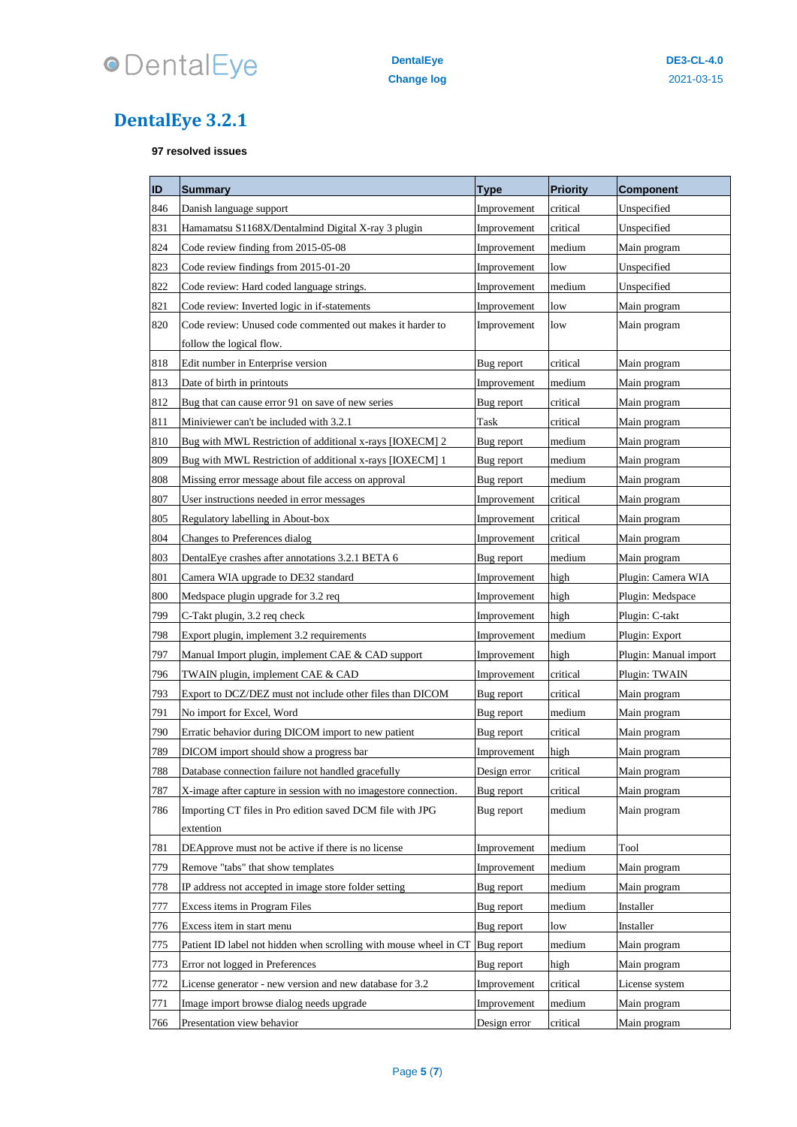

## **DentalEye 3.2.1**

**resolved issues**

| ID         | <b>Summary</b>                                                                        | Type                      | <b>Priority</b> | <b>Component</b>      |
|------------|---------------------------------------------------------------------------------------|---------------------------|-----------------|-----------------------|
| 846        | Danish language support                                                               | Improvement               | critical        | Unspecified           |
| 831        | Hamamatsu S1168X/Dentalmind Digital X-ray 3 plugin                                    | Improvement               | critical        | Unspecified           |
| 824        | Code review finding from 2015-05-08                                                   | Improvement               | medium          | Main program          |
| 823        | Code review findings from 2015-01-20                                                  | Improvement               | low             | Unspecified           |
| 822        | Code review: Hard coded language strings.                                             | Improvement               | medium          | Unspecified           |
| 821        | Code review: Inverted logic in if-statements                                          | Improvement               | low             | Main program          |
| 820        | Code review: Unused code commented out makes it harder to<br>follow the logical flow. | Improvement               | low             | Main program          |
| 818        | Edit number in Enterprise version                                                     | Bug report                | critical        | Main program          |
| 813        | Date of birth in printouts                                                            | Improvement               | medium          | Main program          |
| 812        | Bug that can cause error 91 on save of new series                                     | Bug report                | critical        | Main program          |
| 811        | Miniviewer can't be included with 3.2.1                                               | Task                      | critical        | Main program          |
| 810        | Bug with MWL Restriction of additional x-rays [IOXECM] 2                              | Bug report                | medium          | Main program          |
| 809        | Bug with MWL Restriction of additional x-rays [IOXECM] 1                              | Bug report                | medium          | Main program          |
| 808        | Missing error message about file access on approval                                   |                           | medium          | Main program          |
| 807        | User instructions needed in error messages                                            | Bug report<br>Improvement | critical        | Main program          |
|            | Regulatory labelling in About-box                                                     |                           |                 |                       |
| 805<br>804 | Changes to Preferences dialog                                                         | Improvement               | critical        | Main program          |
|            |                                                                                       | Improvement               | critical        | Main program          |
| 803        | DentalEye crashes after annotations 3.2.1 BETA 6                                      | Bug report                | medium          | Main program          |
| 801        | Camera WIA upgrade to DE32 standard                                                   | Improvement               | high            | Plugin: Camera WIA    |
| 800        | Medspace plugin upgrade for 3.2 req                                                   | Improvement               | high            | Plugin: Medspace      |
| 799        | C-Takt plugin, 3.2 req check                                                          | Improvement               | high            | Plugin: C-takt        |
| 798        | Export plugin, implement 3.2 requirements                                             | Improvement               | medium          | Plugin: Export        |
| 797        | Manual Import plugin, implement CAE & CAD support                                     | Improvement               | high            | Plugin: Manual import |
| 796        | TWAIN plugin, implement CAE & CAD                                                     | Improvement               | critical        | Plugin: TWAIN         |
| 793        | Export to DCZ/DEZ must not include other files than DICOM                             | Bug report                | critical        | Main program          |
| 791        | No import for Excel, Word                                                             | Bug report                | medium          | Main program          |
| 790        | Erratic behavior during DICOM import to new patient                                   | Bug report                | critical        | Main program          |
| 789        | DICOM import should show a progress bar                                               | Improvement               | high            | Main program          |
| 788        | Database connection failure not handled gracefully                                    | Design error              | critical        | Main program          |
| 787        | X-image after capture in session with no imagestore connection.                       | Bug report                | critical        | Main program          |
| 786        | Importing CT files in Pro edition saved DCM file with JPG                             | Bug report                | medium          | Main program          |
|            | extention                                                                             |                           |                 |                       |
| 781        | DEApprove must not be active if there is no license                                   | Improvement               | medium          | Tool                  |
| 779        | Remove "tabs" that show templates                                                     | Improvement               | medium          | Main program          |
| 778        | IP address not accepted in image store folder setting                                 | Bug report                | medium          | Main program          |
| 777        | Excess items in Program Files                                                         | Bug report                | medium          | Installer             |
| 776        | Excess item in start menu                                                             | Bug report                | low             | Installer             |
| 775        | Patient ID label not hidden when scrolling with mouse wheel in CT                     | Bug report                | medium          | Main program          |
| 773        | Error not logged in Preferences                                                       | Bug report                | high            | Main program          |
| 772        | License generator - new version and new database for 3.2                              | Improvement               | critical        | License system        |
| 771        | Image import browse dialog needs upgrade                                              | Improvement               | medium          | Main program          |
| 766        | Presentation view behavior                                                            | Design error              | critical        | Main program          |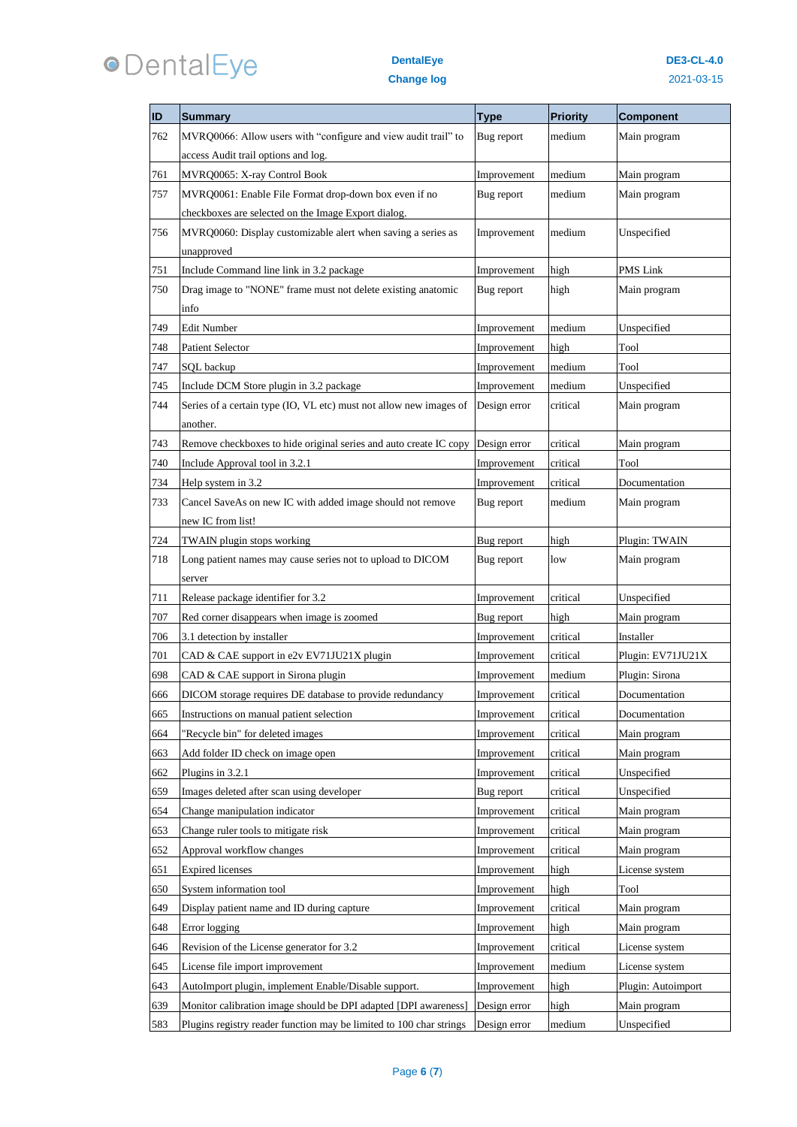# **ODentalEye**

| ID  | <b>Summary</b>                                                      | <b>Type</b>  | <b>Priority</b> | <b>Component</b>   |
|-----|---------------------------------------------------------------------|--------------|-----------------|--------------------|
| 762 | MVRQ0066: Allow users with "configure and view audit trail" to      | Bug report   | medium          | Main program       |
|     | access Audit trail options and log.                                 |              |                 |                    |
| 761 | MVRQ0065: X-ray Control Book                                        | Improvement  | medium          | Main program       |
| 757 | MVRQ0061: Enable File Format drop-down box even if no               | Bug report   | medium          | Main program       |
|     | checkboxes are selected on the Image Export dialog.                 |              |                 |                    |
| 756 | MVRQ0060: Display customizable alert when saving a series as        | Improvement  | medium          | Unspecified        |
|     | unapproved                                                          |              |                 |                    |
| 751 | Include Command line link in 3.2 package                            | Improvement  | high            | PMS Link           |
| 750 | Drag image to "NONE" frame must not delete existing anatomic        | Bug report   | high            | Main program       |
|     | info                                                                |              |                 |                    |
| 749 | Edit Number                                                         | Improvement  | medium          | Unspecified        |
| 748 | <b>Patient Selector</b>                                             | Improvement  | high            | Tool               |
| 747 | SQL backup                                                          | Improvement  | medium          | Tool               |
| 745 | Include DCM Store plugin in 3.2 package                             | Improvement  | medium          | Unspecified        |
| 744 | Series of a certain type (IO, VL etc) must not allow new images of  | Design error | critical        | Main program       |
|     | another.                                                            |              |                 |                    |
| 743 | Remove checkboxes to hide original series and auto create IC copy   | Design error | critical        | Main program       |
| 740 | Include Approval tool in 3.2.1                                      | Improvement  | critical        | Tool               |
| 734 | Help system in 3.2                                                  | Improvement  | critical        | Documentation      |
| 733 | Cancel SaveAs on new IC with added image should not remove          | Bug report   | medium          | Main program       |
|     | new IC from list!                                                   |              |                 |                    |
| 724 | TWAIN plugin stops working                                          | Bug report   | high            | Plugin: TWAIN      |
| 718 | Long patient names may cause series not to upload to DICOM          | Bug report   | low             | Main program       |
|     | server                                                              |              |                 |                    |
| 711 | Release package identifier for 3.2                                  | Improvement  | critical        | Unspecified        |
| 707 | Red corner disappears when image is zoomed                          | Bug report   | high            | Main program       |
| 706 | 3.1 detection by installer                                          | Improvement  | critical        | Installer          |
| 701 | CAD & CAE support in e2v EV71JU21X plugin                           | Improvement  | critical        | Plugin: EV71JU21X  |
| 698 | CAD & CAE support in Sirona plugin                                  | Improvement  | medium          | Plugin: Sirona     |
| 666 | DICOM storage requires DE database to provide redundancy            | Improvement  | critical        | Documentation      |
| 665 | Instructions on manual patient selection                            | Improvement  | critical        | Documentation      |
| 664 | "Recycle bin" for deleted images                                    | Improvement  | critical        | Main program       |
| 663 | Add folder ID check on image open                                   | Improvement  | critical        | Main program       |
| 662 | Plugins in 3.2.1                                                    | Improvement  | critical        | Unspecified        |
| 659 | Images deleted after scan using developer                           | Bug report   | critical        | Unspecified        |
| 654 | Change manipulation indicator                                       | Improvement  | critical        | Main program       |
| 653 | Change ruler tools to mitigate risk                                 | Improvement  | critical        | Main program       |
| 652 | Approval workflow changes                                           | Improvement  | critical        | Main program       |
| 651 | <b>Expired</b> licenses                                             | Improvement  | high            | License system     |
| 650 | System information tool                                             | Improvement  | high            | Tool               |
| 649 | Display patient name and ID during capture                          | Improvement  | critical        | Main program       |
| 648 | Error logging                                                       | Improvement  | high            | Main program       |
| 646 | Revision of the License generator for 3.2                           | Improvement  | critical        | License system     |
| 645 | License file import improvement                                     | Improvement  | medium          | License system     |
| 643 | AutoImport plugin, implement Enable/Disable support.                | Improvement  | high            | Plugin: Autoimport |
| 639 | Monitor calibration image should be DPI adapted [DPI awareness]     | Design error | high            | Main program       |
| 583 | Plugins registry reader function may be limited to 100 char strings | Design error | medium          | Unspecified        |